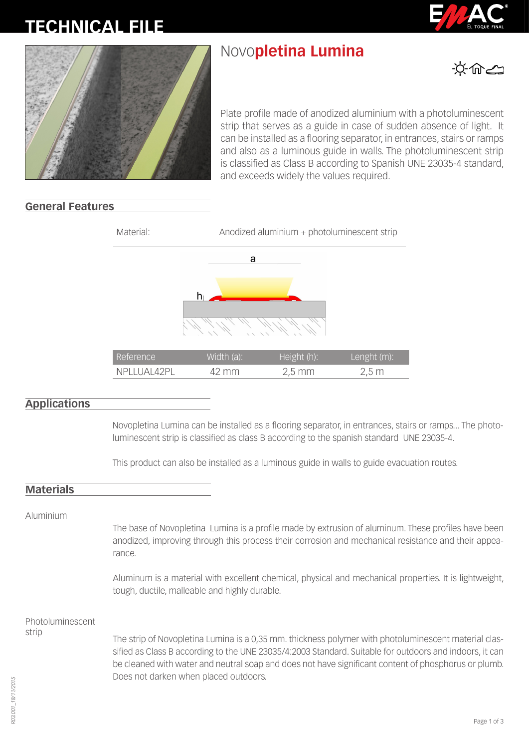# **FICHA TÉC-TECHNICAL FILE**

# Novo**pletina Lumina**





Plate profile made of anodized aluminium with a photoluminescent strip that serves as a guide in case of sudden absence of light. It can be installed as a flooring separator, in entrances, stairs or ramps and also as a luminous guide in walls. The photoluminescent strip is classified as Class B according to Spanish UNE 23035-4 standard, and exceeds widely the values required.

## **General Features**



## **Applications**

Novopletina Lumina can be installed as a flooring separator, in entrances, stairs or ramps... The photoluminescent strip is classified as class B according to the spanish standard UNE 23035-4.

This product can also be installed as a luminous guide in walls to guide evacuation routes.

#### **Materials**

Aluminium

The base of Novopletina Lumina is a profile made by extrusion of aluminum. These profiles have been anodized, improving through this process their corrosion and mechanical resistance and their appearance.

Aluminum is a material with excellent chemical, physical and mechanical properties. It is lightweight, tough, ductile, malleable and highly durable.

Photoluminescent strip

The strip of Novopletina Lumina is a 0,35 mm. thickness polymer with photoluminescent material classified as Class B according to the UNE 23035/4:2003 Standard. Suitable for outdoors and indoors, it can be cleaned with water and neutral soap and does not have significant content of phosphorus or plumb. Does not darken when placed outdoors.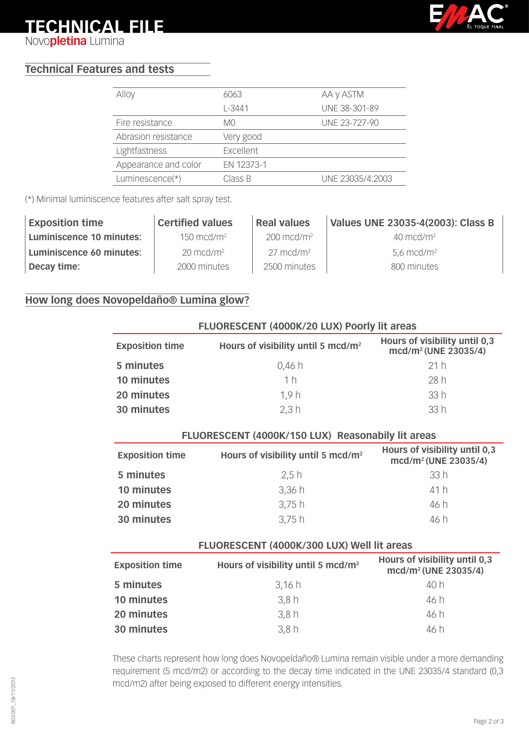# **FICHA TÉC-TECHNICAL FILE**

**NICA** Novo**pletina** Lumina



# **Technical Features and tests**

| Alloy                | 6063       | AA y ASTM        |
|----------------------|------------|------------------|
|                      | $L - 3441$ | UNE 38-301-89    |
| Fire resistance      | M0         | UNE 23-727-90    |
| Abrasion resistance  | Very good  |                  |
| Lightfastness        | Excellent  |                  |
| Appearance and color | EN 12373-1 |                  |
| Luminescence(*)      | Class B    | UNE 23035/4:2003 |
|                      |            |                  |

(\*) Minimal luminiscence features after salt spray test.

| <b>Exposition time</b>   | <b>Certified values</b> | <b>Real values</b>    | Values UNE 23035-4(2003): Class B |
|--------------------------|-------------------------|-----------------------|-----------------------------------|
| Luminiscence 10 minutes: | $150 \text{ mcd/m}^2$   | $200 \text{ mod/m}^2$ | $40 \text{ mcd/m}^2$              |
| Luminiscence 60 minutes: | $20 \text{ mod/m}^2$    | $27 \text{ mcd/m}^2$  | $5.6 \text{ mod/m}^2$             |
| Decay time:              | 2000 minutes            | 2500 minutes          | 800 minutes                       |

# **How long does Novopeldaño® Lumina glow?**

| FLUORESCENT (4000K/20 LUX) Poorly lit areas |                                                |                                                                   |  |
|---------------------------------------------|------------------------------------------------|-------------------------------------------------------------------|--|
| <b>Exposition time</b>                      | Hours of visibility until 5 mcd/m <sup>2</sup> | Hours of visibility until 0,3<br>mcd/m <sup>2</sup> (UNE 23035/4) |  |
| 5 minutes                                   | 0,46 h                                         | 21h                                                               |  |
| 10 minutes                                  | 1 <sub>h</sub>                                 | 28 h                                                              |  |
| 20 minutes                                  | 1.9h                                           | 33h                                                               |  |
| 30 minutes                                  | 2,3 h                                          | 33h                                                               |  |

| FLUORESCENT (4000K/150 LUX) Reasonabily lit areas |                                                |                                                                   |  |
|---------------------------------------------------|------------------------------------------------|-------------------------------------------------------------------|--|
| <b>Exposition time</b>                            | Hours of visibility until 5 mcd/m <sup>2</sup> | Hours of visibility until 0,3<br>mcd/m <sup>2</sup> (UNE 23035/4) |  |
| 5 minutes                                         | 2.5h                                           | 33h                                                               |  |
| 10 minutes                                        | 3,36h                                          | 41h                                                               |  |
| 20 minutes                                        | 3,75h                                          | 46 h                                                              |  |
| 30 minutes                                        | 3,75h                                          | 46 h                                                              |  |

#### **FLUORESCENT (4000K/300 LUX) Well lit areas**

| <b>Exposition time</b> | Hours of visibility until 5 mcd/m <sup>2</sup> | Hours of visibility until 0,3<br>mcd/m <sup>2</sup> (UNE 23035/4) |
|------------------------|------------------------------------------------|-------------------------------------------------------------------|
| 5 minutes              | 3,16h                                          | 40 h                                                              |
| 10 minutes             | 3.8h                                           | 46 h                                                              |
| 20 minutes             | 3,8h                                           | 46 h                                                              |
| 30 minutes             | 3.8h                                           | 46 h                                                              |

These charts represent how long does Novopeldaño® Lumina remain visible under a more demanding requirement (5 mcd/m2) or according to the decay time indicated in the UNE 23035/4 standard (0,3 mcd/m2) after being exposed to different energy intensities.